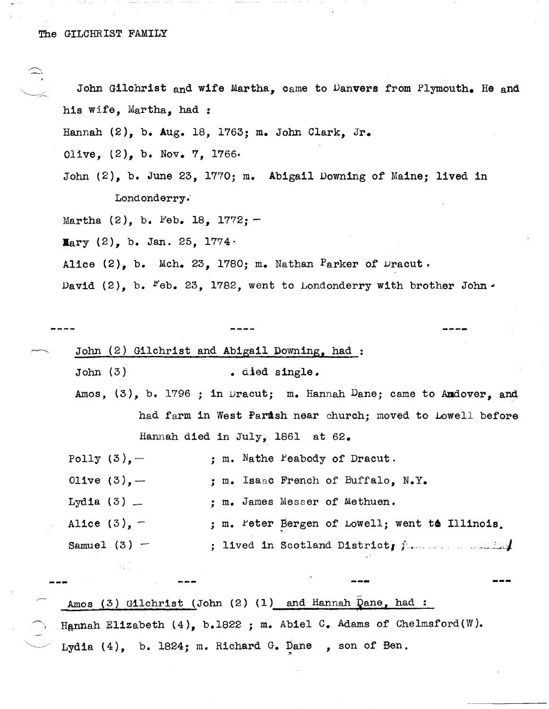John Gilchrist and wife Martha, came to Danvers from Plymouth. He and his wife, Martha, had : Hannah (2), b. Aug. 18, 1763; m. John Clark, Jr. Olive, (2), b. Nov. 7, 1766· John (2), b. June 23, 1770; m. Abigail Downing of Maine; lived in Londonderry. Martha  $(2)$ , b. Feb. 18, 1772; -Mary  $(2)$ , b. Jan. 25, 1774. Alice  $(2)$ , b. Mch. 23, 1780; m. Nathan Parker of Dracut. David  $(2)$ , b.  $Feb. 23$ , 1782, went to Londonderry with brother John.

John (2) Gilchrist and Abigail Downing, had : John (3) • died single. Amos, (3), b. 1796 ; in vracut; m. Hannah Dane; came to Amdover, and had farm in West Parish near church; moved to Lowell before Hannah died in July, 1861 at 62. Polly  $(3)$ ,  $-$  ; m. Nathe leabody of Dracut. Olive  $(3)$ ,  $-$  ; m. Isaac French of Buffalo, N.Y. Lydia  $(3)$   $\qquad \qquad ;$  m. James Messer of Methuen. Alice (3), - , m. Peter Bergen of Lowell; went to Illinois. Samuel (3) -  $\qquad \qquad ; \text{ 1ived in Scotland District, } j$ 

Amos (3) Gilchrist (John (2) (1) and Hannah Dane, had: Hannah Elizabeth  $(4)$ , b.1822 ; m. Abiel C. Adams of Chelmsford(W). Lydia (4), b. 1824; m. Richard G. Dane , son of Ben.

**--- ---**